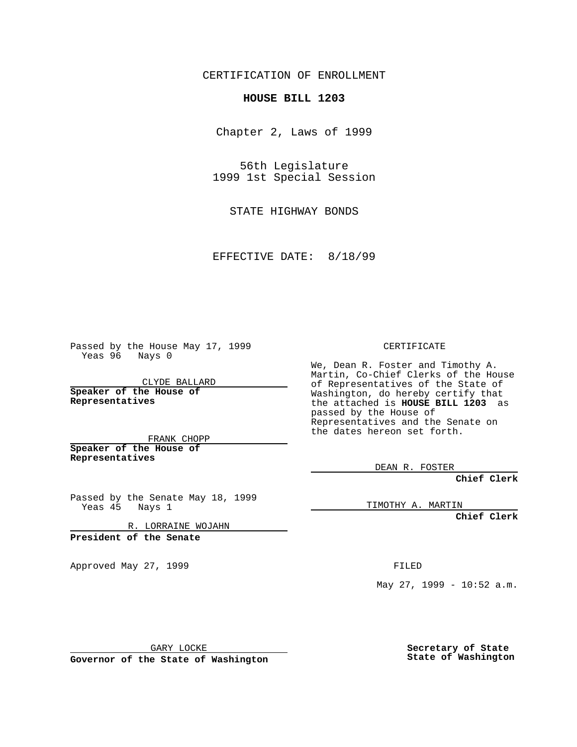CERTIFICATION OF ENROLLMENT

## **HOUSE BILL 1203**

Chapter 2, Laws of 1999

56th Legislature 1999 1st Special Session

STATE HIGHWAY BONDS

EFFECTIVE DATE: 8/18/99

Passed by the House May 17, 1999 Yeas 96 Nays 0

CLYDE BALLARD **Speaker of the House of Representatives**

FRANK CHOPP **Speaker of the House of Representatives**

Passed by the Senate May 18, 1999 Yeas 45 Nays 1

R. LORRAINE WOJAHN

**President of the Senate**

Approved May 27, 1999 **FILED** 

CERTIFICATE

We, Dean R. Foster and Timothy A. Martin, Co-Chief Clerks of the House of Representatives of the State of Washington, do hereby certify that the attached is **HOUSE BILL 1203** as passed by the House of Representatives and the Senate on the dates hereon set forth.

DEAN R. FOSTER

**Chief Clerk**

TIMOTHY A. MARTIN

**Chief Clerk**

May 27, 1999 - 10:52 a.m.

GARY LOCKE

**Governor of the State of Washington**

**Secretary of State State of Washington**